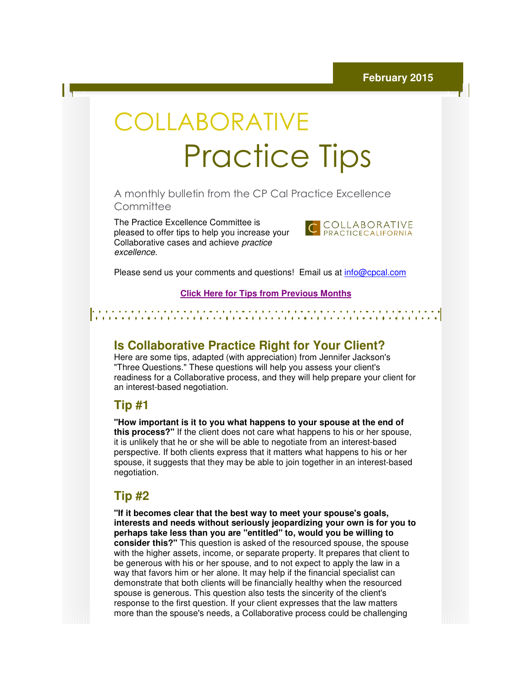# COLLABORATIVE Practice Practice Tips

A monthly bulletin from the CP Cal Practice Excellence **Committee** 

The Practice Excellence Committee is pleased to offer tips to help you increase your help Collaborative cases and achieve practice excellence.



Please send us your comments and questions! Email us at *info@cpcal.com* 

#### **Click Here f for Tips from Previous Months**

# **Is Collaborative Practice Right for Your Client?**

Here are some tips, adapted (with appreciation) from Jennifer Jackson's "Three Questions." These questions will help you assess your client's readiness for a Collaborative process, and they will help prepare your client for for an interest-based negotiation. based

## **Tip #1**

"How important is it to you what happens to your spouse at the end of **this process?"** If the client does not care what happens to his or her spouse,<br>it is unlikely that he or she will be able to negotiate from an interest-based it is unlikely that he or she will be able to negotiate from an interest perspective. If both clients express that it matters what happens to his or her spouse, it suggests that they may be able to join together in an interest be able in interest-based negotiation.

## **Tip #2**

**"If it becomes clear that the best way to meet your spouse's goals, interests and needs without seriously jeopardizing your own is for you to**  "If it becomes clear that the best way to meet your spouse's goals,<br>interests and needs without seriously jeopardizing your own is for y<br>perhaps take less than you are "entitled" to, would you be willing to **consider this?"** This question is asked of the resourced spouse, the spouse **consider this?"** This question is asked of the resourced spouse, the spouse<br>with the higher assets, income, or separate property. It prepares that client to be generous with his or her spouse, and to not expect to apply the law in a be generous with his or her spouse, and to not expect to apply the law in a<br>way that favors him or her alone. It may help if the financial specialist can demonstrate that both clients will be financially healthy when the resourced spouse is generous. This question also tests the sincerity of the client's response to the first question. If your client expresses that the law matters more than the spouse's needs, a Collaborative process could be challenging ortant is it to you what happens to your spouse at the end of<br>
sess?" If the client does not care what happens to his or her spouse,<br>
y that he or she will be able to negotiate from an interest-based<br>
e. If both clients ex parate property. It prepares<br>and to not expect to apply th<br>nay help if the financial speci<br>financially healthy when the